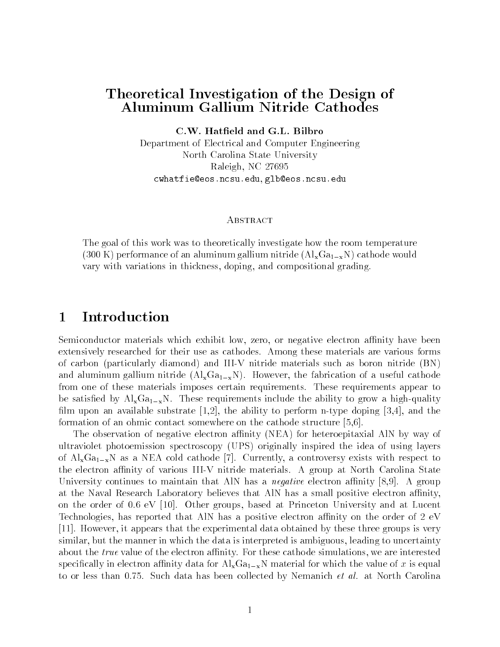# Theoretical Investigation of the Design of Aluminum Gallium Nitride Cathodes

C.W. Hatfield and G.L. Bilbro

Department of Electrical and Computer Engineering North Carolina State University Raleigh NC cwhatfie@eos.ncsu.edu, glb@eos.ncsu.edu

# **ABSTRACT**

The goal of this work was to theoretically investigate how the room temperature (300 K) performance of an aluminum gallium nitride  $(AI_xGa_{1-x}N)$  cathode would vary with variations in thickness doping and compositional grading

# Introduction

Semiconductor materials which exhibit low, zero, or negative electron affinity have been extensively researched for their use as cathodes Among these materials are various forms of carbon (particularly diamond) and III-V nitride materials such as boron nitride (BN) and aluminum gallium nitride  $\lambda$  and  $\lambda$  and  $\lambda$  and  $\lambda$  and  $\lambda$  are ful cathodes of a useful cathodes are from one of these materials imposes certain requirements These requirements appear to ed by AlxGaxNi  $\Lambda$  requirements in the ability to grow a higher single the ability to grow a higher single to grow a higher single single single single single single single single single single single single single singl film upon an available substrate  $[1,2]$ , the ability to perform n-type doping  $[3,4]$ , and the formation of an ohmic contact somewhere on the cathode structure  $[5,6]$ .

The observation of negative electron affinity (NEA) for heteroepitaxial AlN by way of ultraviolet photoemission spectroscopy UPS originally inspired the idea of using layers of Alaxam as a new cold cathode - and all cathoders with respect to the controversy controversy exists with re  $\mathcal{M}$  and  $\mathcal{M}$  and  $\mathcal{M}$ University continues to maintain that a new continues of the protocological continues  $\Delta z$  and  $\Delta z$ at the Naval Research Laboratory believes that AlN has a small positive electron affinity, on the order of the order of the order groups based at Lucente at Lucente at Lucente at Lucente and at Lucente a Technologies, has reported that AlN has a positive electron affinity on the order of  $2 \text{ eV}$  However it appears that the experimental data obtained by these three groups is very similar, but the manner in which the data is interpreted is ambiguous, leading to uncertainty about the true value of the electron anity we are interested and the simulations we are interested and interes specifically in electron affinity data for  $\text{Al}_{x}\text{Ga}_{1-x}\text{N}$  material for which the value of x is equal to or less than  $\mathbb{R}$  than  $\mathbb{R}$  than  $\mathbb{R}$  than  $\mathbb{R}$  than  $\mathbb{R}$  than  $\mathbb{R}$  than  $\mathbb{R}$  than  $\mathbb{R}$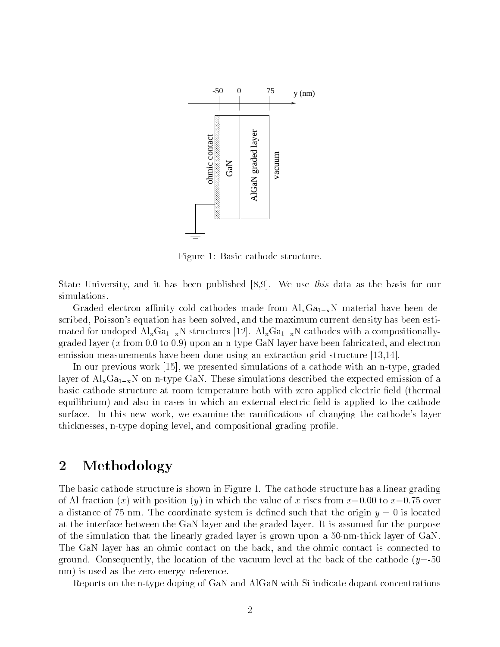

Figure 1: Basic cathode structure.

State University and it has been published We use this data as the basis for our simulations

Graded electron affinity cold cathodes made from  $Al_xGa_{1-x}N$  material have been described, Poisson's equation has been solved, and the maximum current density has been estimated for  $\Lambda$  structures with a composition  $\Lambda$  structures with a composition  $\Lambda$  $\mathbf{u}$  is a non-type  $\mathbf{u}$  is a non-type  $\mathbf{u}$  is a non-type GaN layer have been fabricated and electronicated and electronicated and electronicated and electronicated and electronicated and electronicated and ele emission measurements have been done using an extraction grid structure  $[13,14]$ .

In our previous work  $[15]$ , we presented simulations of a cathode with an n-type, graded layer of  $\Lambda$  in the expected the expected the expected emission of a simulations described the expected emission of a simulation of a simulation of a simulation of a simulation of a simulation of a simulation of a simula basic cathode structure at room temperature both with zero applied electric field (thermal equilibrium) and also in cases in which an external electric field is applied to the cathode surface In this new work we examine the rami
cations of changing the cathodes layer thicknesses, n-type doping level, and compositional grading profile.

# 2 Methodology

the basic cathode structure is shown in Figure . The cathode structure is shown in Figure has a linear  $\pi$ - over the value of x rises from your interest from x rises from x rises from x rises from x rises from x rises a distance of the coordinate system is decomposed to the coordinate system is described to the original origin at the interface between the graded layer and the graded layer and the graded layer and the purpose  $\mathbf{I}$ of the simulation that the linearly graded layer is grown upon a  $50$ -nm-thick layer of GaN. The GaN layer has an ohmic contact on the back, and the ohmic contact is connected to ground the location of the location of the vacuum level at the back of the back of the parties  $\mu$  , and  $\sigma$ nm) is used as the zero energy reference.

Reports on the ntype doping of GaN and AlGaN with Si indicate dopant concentrations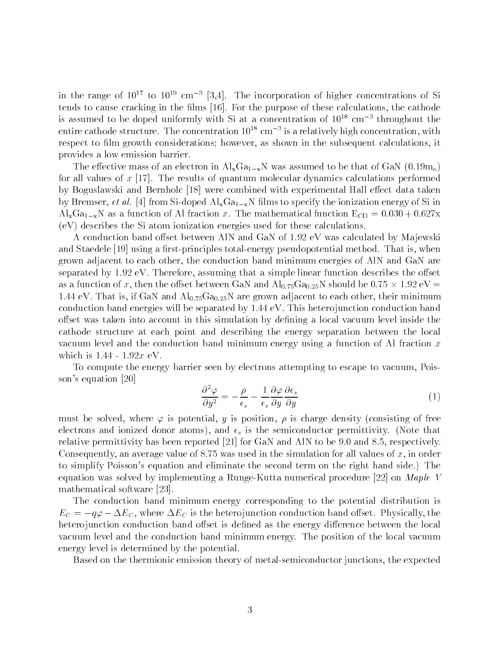in the range of  $10^{+1}$  to  $10^{+2}$  cm  $^{-1}$  [3,4]. The incorporation of higher concentrations of Si tends to cause cracking in the 
lms For the purpose of these calculations the cathode is assumed to be doped uniformly with Si at a concentration of  $10^{18}$  cm<sup>-3</sup> throughout the entire cathode structure.I he concentration 10th cm this a relatively high concentration,with respect to film growth considerations; however, as shown in the subsequent calculations, it provides a low emission barrier

The extension is an electron in AlxGax assumed to  $\Lambda$  with  $\Lambda$  and the distribution is a second to be the  $\Lambda$  of  $\Lambda$ for all values of x - The results of quantum molecular dynamics calculations performed by Boguslawski and Bernholc [18] were combined with experimental Hall effect data taken by Bremser, et al. [4] from Si-doped  $\text{Al}_x\text{Ga}_{1-x}\text{N}$  films to specify the ionization energy of Si in Also as a function of  $\mathcal{M}(I)$  , and  $\mathcal{M}(I)$  is the mathematical function  $\mathcal{M}(I)$  $(eV)$  describes the Si atom ionization energies used for these calculations.

a conduction band oset by Ma jewski distribution by Ma jewski production and Gan of Ma jewski production and M and Staedele using a 
rstprinciples totalenergy pseudopotential method That is when grown adjacent to each other, the conduction band minimum energies of AlN and  $GaN$  are separated by the simple that a simple described that a simple that a simple simple simple simple simple the os as a function of x then the oset between GaN and AlGaN should be - eV even a since  $V$  and  $V = V$  and  $A$  are grown adjacent to each other their minimum minimum minimum minimum minimum minimum minimum minimum minimum minimum minimum minimum minimum minimum minimum minimum minimum minimum min conduction band energies will be separated by the separated by the separated by the second conduction band of offset was taken into account in this simulation by defining a local vacuum level inside the cathode structure at each point and describing the energy separation between the local vacuum level and the conduction band minimum energy using a function of Al fraction  $x$ 

To compute the energy barrier seen by electrons attempting to escape to vacuum Pois son's equation  $[20]$ 

$$
\frac{\partial^2 \varphi}{\partial y^2} = -\frac{\rho}{\epsilon_s} - \frac{1}{\epsilon_s} \frac{\partial \varphi}{\partial y} \frac{\partial \epsilon_s}{\partial y} \tag{1}
$$

must be solved where - is potential y is position is charge density consisting of free electrons and interest donor at the semi-  $\mu$  is the semiconductor permittivity. (Fig. ) and  $\mu$ relative permittivity mant a respectively many products and and and and Aln to be and Aln to be permittively Consequently an average value of - was used in the simulation for all values of x in order to simplify Poissons equation and eliminate the second term on the right hand side The equation was solved by implementing a Runge-Kutta numerical procedure  $[22]$  on Maple V mathematical software [23].

The conduction band minimum energy corresponding to the potential distribution is EC q- EC where EC is the hetero junction conduction band oset Physically the heterojunction conduction band offset is defined as the energy difference between the local  $\mathcal{W}$ energy level is determined by the potential

Based on the thermionic emission theory of metalsemiconductor junctions the expected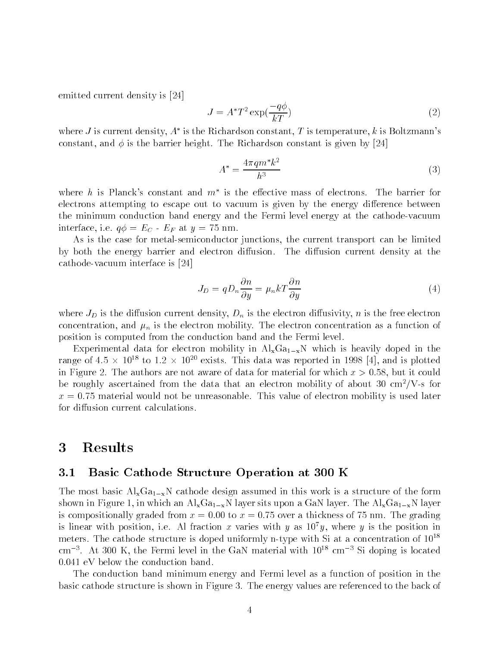emitted current density is [24]

$$
J = A^*T^2 \exp(\frac{-q\phi}{kT})
$$
 (2)

where J is current density,  $A^+$  is the Kichardson constant, I is temperature, K is Boltzmann s constant and is the barrier metallicity of the barrier of the Richardson and  $\mathcal{A}$  is the  $\mathcal{A}$ 

$$
A^* = \frac{4\pi q m^* k^2}{h^3} \tag{3}
$$

where  $n$  is Planck's constant and  $m$  is the elective mass of electrons. The barrier for electrons attempting to escape out to vacuum is given by the energy difference between the minimum conduction band energy and the Fermi level energy at the cathode-vacuum interface in the contract of the contract of the contract of the contract of the contract of the contract of the

As is the case for metalsemiconductor junctions the current transport can be limited by both the energy barrier and electron diusion The diusion current density at the cathode-vacuum interface is [24]

$$
J_D = q D_n \frac{\partial n}{\partial y} = \mu_n k T \frac{\partial n}{\partial y} \tag{4}
$$

where  $J_D$  is the diffusion current density,  $D_n$  is the electron diffusivity, n is the free electron concentration and in its the electron mobility of the electron concentration of the electron of the electron of position is computed from the conduction band and the Fermi level

Experimental data for electron mobility in  $Al_xGa_{1-x}N$  which is heavily doped in the range of 4.5  $\times$  10<sup>--</sup> to 1.2  $\times$  10<sup>--</sup> exists. This data was reported in 1998 [4], and is plotted in Figure The authors are not aware of data for material for which x but it could be roughly ascertained from the data that an electron mobility of about 30  $\text{cm}^2/\text{V}$ -s for x - vity mobility is used mobility is used laterial mobility is used laterially in the second control for diffusion current calculations.

## Results 3

### $3.1$ Basic Cathode Structure Operation at 300 K

The most basic  $\text{Al}_{x}\text{Ga}_{1-x}\text{N}$  cathode design assumed in this work is a structure of the form shown in Figure . The AlixGax layer sits upon a Galician layer site upon a Galician layer sits upon a Galician is compositionally graded from x to x - over a thickness of - nm The grading is linear with position, i.e. Al fraction  $x$  varies with  $y$  as  $10^{\circ}y$ , where  $y$  is the position in meters. The cathode structure is doped uniformly n-type with Si at a concentration of fu-cm  $\,$  . At  $\,$  suu K, the Fermi level in the GaN material with  $\,$  iv  $\,$  cm  $\,$   $\,$  Si doping is located  $\,$ 

The conduction band minimum energy and Fermi level as a function of position in the basic cathode structure is shown in Figure The energy values are referenced to the back of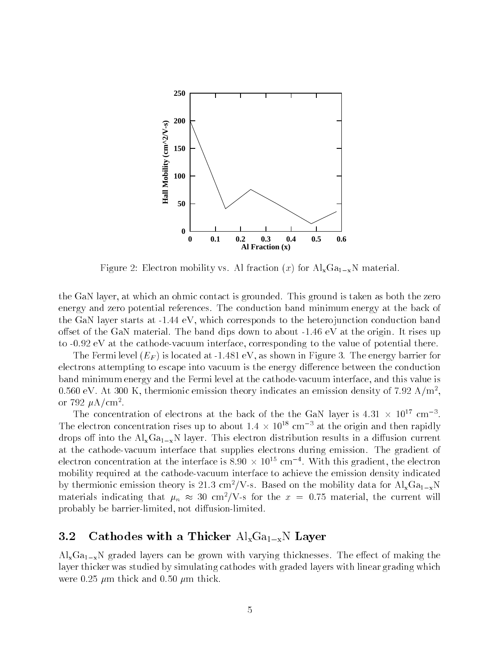

Figure Electron mobility vs Al fraction x for AlxGaxN material

the GaN layer at which and  $\mathcal{L}_{\text{max}}$  is grounded is grounded is grounded is taken as both the zero as both the zero as both the zero as both the zero as both the zero as both the zero as both the zero as both the zero energy and zero potential references The conduction band minimum energy at the back of the Gan layer starts at the starts and the hetero position in the heterogeneous conduction conduction  $\sim$ oset of the Gan material and dips down to about the band dips down to about the original and dips down to about the original and discussion of the original and discussion of the original and discussion of the original and to the cathode cathodes interface corresponding to the value of potential the value of potential the value of

 $\Lambda$  is located at  $\Lambda$  is located at  $\Lambda$  is located at  $\Lambda$  is energy barrier for  $\Lambda$ electrons attempting to escape into vacuum is the energy difference between the conduction band minimum energy and the Fermi level at the cathode-vacuum interface, and this value is  $0.500\,$  eV. At 500 K, thermionic emission theory indicates an emission density of 1.92 A/m-, or  $132~\mu$ A/cm  $\cdot$  .

The concentration of electrons at the back of the the GaN layer is  $4.51 \times 10^{-6}$  cm  $^{-1}$ . The electron concentration rises up to about 1.4  $\times$  10<sup>-8</sup> cm  $^{-3}$  at the origin and then rapidly  $\Lambda$  into the AlxGa $\Lambda$  layer  $\Lambda$ at the cathode vacuum interface that supplies that supplies during emission will gradient of electron concentration at the interface is  $\delta.90\,\times\,10^{-1}$  cm  $^{-1}$  . With this gradient, the electron mobility required at the cathode-vacuum interface to achieve the emission density indicated by thermionic emission theory is 21.5 cm / V-s. Based on the mobility data for  $\rm Al_{x}Ga_{1-x}N$ materials indicating that  $\mu_n~\approx$  30 cm $^{\circ}/$  V-s for the  $x~=$  0.75 material, the current will probably be barrier-limited, not diffusion-limited.

### $3.2$ Cathodes with a Thicker  $\text{Al}_x\text{Ga}_{1-x}N$  Layer

AlxGaxN graded layers can be grown with varying thicknesses The eect of making the layer thicker was studied by simulating cathodes with graded layers with linear grading which were come point comed to the contract and come the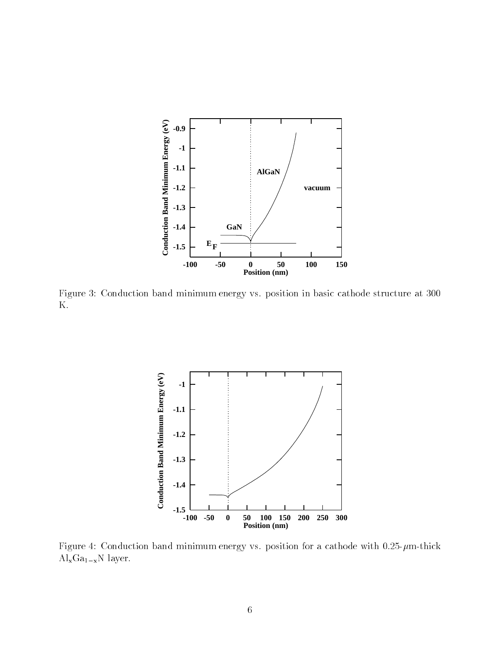

Figure Conduction band minimum energy vs position in basic cathode structure at K



Figure  $\mathbb{R}^n$  $\rm Al_xGa_{1-x}N$  layer.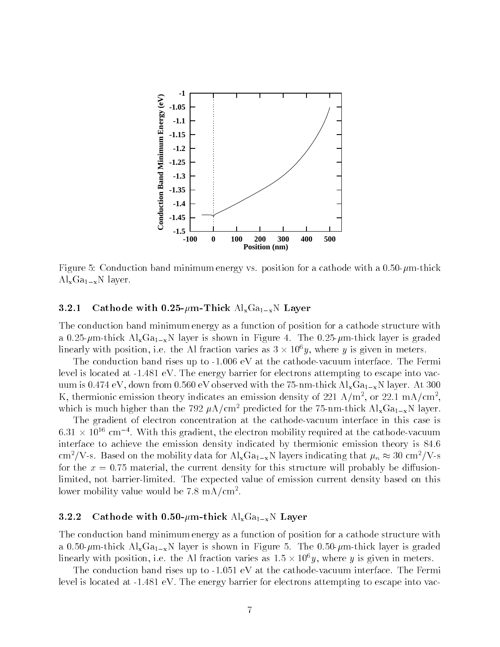

Figure Conduction band minimum energy vs position for a cathode with a mthick  $\mathrm{Al}_{x}\mathrm{Ga}_{1-x}\mathrm{N}$  layer.

### - - - - -Cathode with 0.25- $\mu$ m-Thick  $\text{Al}_{\text{x}}\text{Ga}_{\text{1-x}}$ N Layer

The conduction band minimum energy as a function of position for a cathode structure with and  $\Lambda$  in Figure is shown in Figure is shown in Figure in Figure . In Figure , the figure is graded to  $\Lambda$ linearly with position, i.e. the Al fraction varies as  $3 \times 10^7 y$ , where y is given in meters.

The conduction band rises up to  eV at the cathodevacuum interface The Fermi level is located at  eV The energy barrier for electrons attempting to escape into vac uum is - eV down from eV observed with the -nmthick AlxGaxN layer At K, thermionic emission theory indicates an emission density of 221 A/m<sup>-</sup>, or 22.1 mA/cm<sup>-</sup>, which is much higher than the  $\eta z \mu A / c$ in- predicted for the  $\tau$ -nin-thick  $A1_xGa_{1-x}$ N layer.

The gradient of electron concentration at the cathode-vacuum interface in this case is  $0.31\,\times\,10^{-1}$  cm  $^{-1}$  . With this gradient, the electron mobility required at the cathode-vacuum interface to achieve the emission density indicated by the emission density indicated by the emission theory is cm / v-s. Based on the mobility data for  $\text{Al}_\textbf{x}$ Ga<sub>1-x</sub>N layers indicating that  $\mu_n \approx$  30 cm / v-s for the x - material the current density for this structure will probably be diusion limited not barrierlimited The expected value of emission current density based on this lower mobility value would be  $\iota$  o mA/cm<sup>-</sup>.

# Cathode with 0.50- $\mu$ m-thick Al<sub>x</sub>Ga<sub>1-x</sub>N Layer

The conduction band minimum energy as a function of position for a cathode structure with a and the contract  $\mathbf{r} = \mathbf{r}_1$  and  $\mathbf{r}_2$  is the state is stated in Figure is graded to  $\mathbf{r}_1$  and  $\mathbf{r}_2$  and  $\mathbf{r}_3$ linearly with position, i.e. the Al fraction varies as 1.5  $\times$  10  $y$ , where y is given in meters.

The conduction band rises up to  eV at the cathodevacuum interface The Fermi evel is the energy barrier for the energy barriers and the energy form of the control the control of the control of the control of the control of the control of the control of the control of the control of the control of t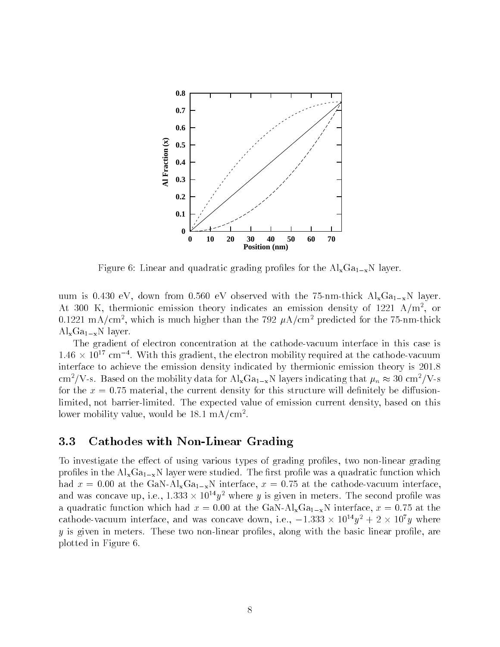

Figure 6: Linear and quadratic grading profiles for the  $Al_xGa_{1-x}N$  layer.

where we consider the contract and allowed with the contract of the contract  $\mathbf{A}$  with  $\mathbf{A}$  and  $\mathbf{A}$ At  $500\,$  K, thermionic emission theory indicates an emission density of  $1221\,$  A/m-, or  $-$ 0.1221 mA/cm<sup>-</sup>, which is much higher than the 192  $\mu$ A/cm<sup>-</sup> predicted for the 15-nm-thick  $\text{Al}_x\text{Ga}_{1-x}N$  layer.

The gradient of electron concentration at the cathode-vacuum interface in this case is  $1.40\,\times\,10^{-3}$  cm  $^{-1}$  . With this gradient, the electron mobility required at the cathode-vacuum interface to achieve the emission density indicated by thermionic emission theory is cm-/v-s. Dased on the mobility data for  ${\rm Ai}_{\rm x}$ Ga<sub>1-x</sub>N layers indicating that  $\mu_n\approx$  50 cm-/v-s for the x - material the current density for this structure will de
nitely be diusion limited not barrierlimited The expected value of emission current density based on this lower mobility value, would be 18.1  $\rm mA/cm$  .

### 3.3 Cathodes with Non-Linear Grading

To investigate the effect of using various types of grading profiles, two non-linear grading in the AlxGa $\lambda$  in the AlxGaxN layer were studied which which were studied which which which which which which which which were studied with  $\lambda$ had a strong interface  $\Delta$  or  $1-\Delta$  is the cathodes of  $\Delta$  interface and  $\Delta$  interface  $\Delta$  is the cathodes of  $\Delta$ and was concave up, i.e., 1.333  $\times$  10  $^{\circ}$ y  $^{\circ}$  where  $y$  is given in meters. The second profile was and a set of the GaN interface  $\Lambda$  in the GaN interface  $\Lambda$  interface  $\Lambda$  interface  $\Lambda$ cathode-vacuum interface, and was concave down, i.e.,  $-1.333 \times 10^{-3}y^{2} + 2 \times 10^{2}y$  where y is given in meters These two nonlinear pro
les along with the basic linear pro
le are plotted in Figure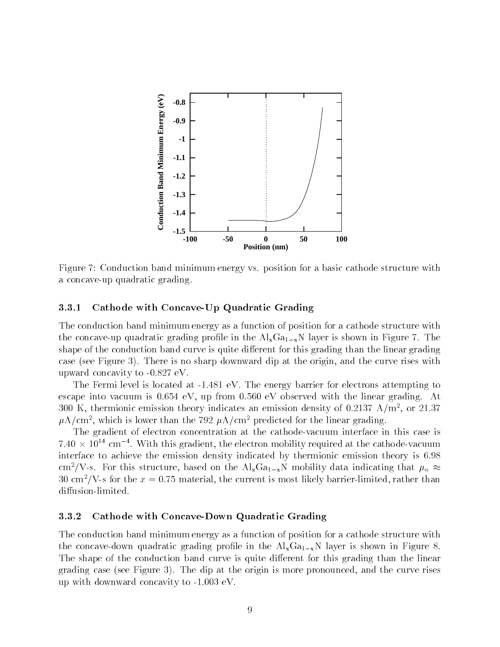

Figure - Conduction band minimum energy vs position for a basic cathode structure with a concave-up quadratic grading.

### ----Cathode with Concave-Up Quadratic Grading

The conduction band minimum energy as a function of position for a cathode structure with the concert of the AlxGax layer is shown in the AlxGaxN layer is shown in the AlxGax of the AlxGax shape of the conduction band curve is quite different for this grading than the linear grading case see Figure . There is no sharp downward dip at the origin and the origin and the origin and the curve ris -partner concert contract to the concert of the concert of the concert of the concert of the concert of the concert of the concert of the concert of the concert of the concert of the concert of the concert of the concert o

 $\mathbf{f}$ escape into vacuum is the linear grading with the linear grading  $\mathbf{A}$  at a linear grading  $\mathbf{A}$ 300 K, thermionic emission theory indicates an emission density of 0.2131 A/m , or 21.37  $\mu$ A/cm", which is lower than the 192  $\mu$ A/cm" predicted for the linear grading.

The gradient of electron concentration at the cathode-vacuum interface in this case is  $+40\times10^{-4}$  cm  $^{-1}$  . With this gradient, the electron mobility required at the cathode-vacuum interface to achieve the emission density indicated by thermionic emission theory is cm / v-s. For this structure, based on the  $\rm Al_{x}Ga_{1-x}N$  mobility data indicating that  $\mu_n \approx$  $30\,$  cm  $\prime$  V -s for the  $x=0.75$  material, the current is most likely barrier-limited, rather than diffusion-limited.

#### ----Cathode with Concave-Down Quadratic Grading

The conduction band minimum energy as a function of position for a cathode structure with the concave-down quadratic grading profile in the  $\text{Al}_x\text{Ga}_{1-x}\text{N}$  layer is shown in Figure 8. The shape of the conduction band curve is quite different for this grading than the linear  $\mathcal{A}$  at the set or dip at the origin is more proposed and the curve rises or  $\mathcal{A}$  and the curve rises rises rises or  $\blacksquare$  with downward concavity to  $\blacksquare$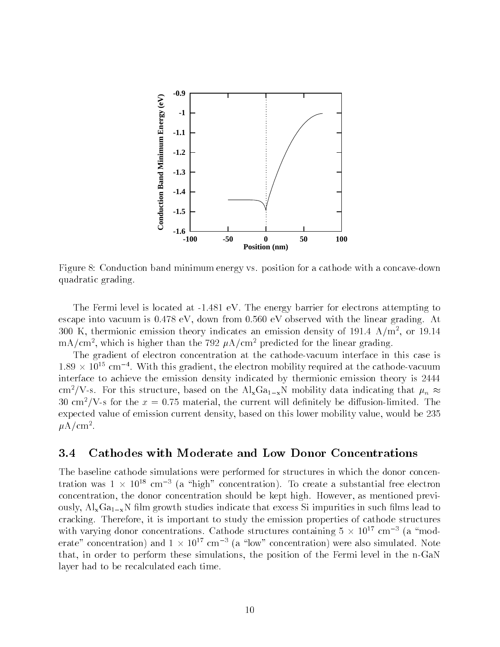

Figure Conduction band minimum energy vs position for a cathode with a concavedown quadratic grading

The Fermi level is located at  eV The energy barrier for electrons attempting to every control into value of the linear control to the linear control international control  $\pi$  at  $\pi$  $_{\rm \rm \sim N}$  thermionic emission theory indicates an emission density of 191.4  $_{\rm \rm \rm \AA/ \,m}$  , or 19.14  $_{\rm \AA}$  $\rm mA/cm$ , which is higher than the 192  $\rm \mu A/cm$  predicted for the linear grading.

The gradient of electron concentration at the cathode-vacuum interface in this case is  $1.89\,\times\,10^{22}$  cm  $^{-1}$ . With this gradient, the electron mobility required at the cathode-vacuum interface to achieve the emission density indicated by thermionic emission theory is cm / v-s. For this structure, based on the  $\rm Al_{x}Ga_{1-x}N$  mobility data indicating that  $\mu_n \approx$  $_{\rm 50~cm}$  y-s for the  $x=$  0.75 material, the current will definitely be diffusion-limited. The expected value of emission current density, based on this lower mobility value, would be 235  $\mu$ A/Cm<sup>-</sup>.

### 3.4 Cathodes with Moderate and Low Donor Concentrations

The baseline cathode simulations were performed for structures in which the donor concen tration was  $1 \times 10^{-8}$  cm  $^{-1}$  (a -nigh -concentration). To create a substantial free electron concentration the donor concentration should be kept high However as mentioned previ ously,  $Al_xGa_{1-x}N$  film growth studies indicate that excess Si impurities in such films lead to cracking Therefore it is important to study the emission properties of cathode structures with varying donor concentrations. Uathode structures containing  $\vartheta \times 10^{-3}$  cm  $^{-1}$  (as moderate  $\,$  concentration) and  $\,1 \times 10^{-3}$  cm  $^{-1}$  (a  $\,$  low  $\,$  concentration) were also simulated. Note that, in order to perform these simulations, the position of the Fermi level in the n-GaN layer had to be recalculated each time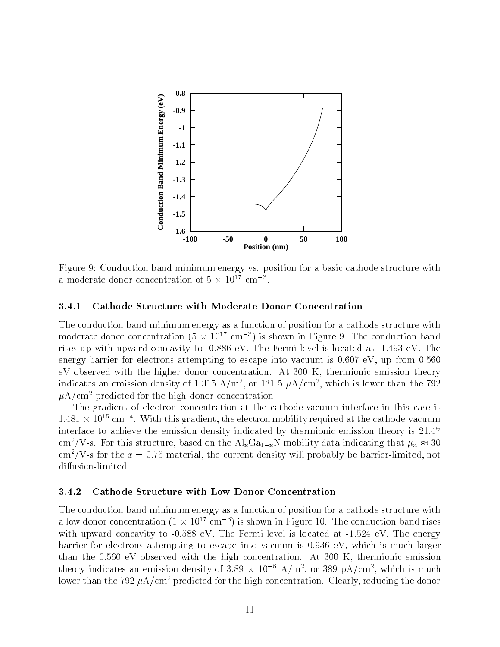

Figure Conduction band minimum energy vs position for a basic cathode structure with a moderate donor concentration of  $\sigma \times 10^{11}$  cm  $^{-1}$ .

# Cathode Structure with Moderate Donor Concentration

The conduction band minimum energy as a function of position for a cathode structure with moderate donor concentration (3  $\times$  10  $^{\circ}$  cm  $^{-}$ ) is snown in Figure 9. The conduction band rises upward concavity to the Fermi level is located at the Fermi level is located at the Fermi level is located at  $\Gamma$ energy barrier for electrons at the exception of the exception of the exception of the exception of the except even at the minimum that the higher donor concentration that the concentration theory theory theory indicates an emission density of 1.515  $A/\text{m}$ , or 151.5  $\mu$ A/cm, which is lower than the 192  $\mu A/cm^2$  predicted for the high donor concentration.

The gradient of electron concentration at the cathode-vacuum interface in this case is 1.481  $\times$  10  $^\circ$  cm  $^{-1}$ . With this gradient, the electron mobility required at the cathode-vacuum interface to achieve the emission density indicated by thermionic emission theory is cm / V-s. For this structure, based on the Al $_{\rm x}$ Ga $_{\rm 1-x}$ N mobility data indicating that  $\mu_n \approx 30$ cm /  $\bf{v}$  -s for the  $x=0.75$  material, the current density will probably be barrier-limited, not diffusion-limited.

#### - - - - -Cathode Structure with Low Donor Concentration

The conduction band minimum energy as a function of position for a cathode structure with a low donor concentration (1  $\times$  10  $^{\circ}$  cm  $^{-}$ ) is shown in Figure 10. The conduction band rises with the concerning to the control of the extent of the energy of the energy of the energy of the energy of the energy of the energy of the energy of the energy of the energy of the energy of the energy of the energy of th barrier for electrons attempting to escape into vacuum is eV which is much larger than the first concentration with the magnetic emission is the first measurement concentration theory indicates an emission density of  $3.89 \times 10^{-8}$  A/m<sup>2</sup>, or  $389$  pA/cm<sup>2</sup>, which is much lower than the  $\beta$   $\mu$   $\mu$   $\lambda$   $\gamma$  cm - predicted for the high concentration. Ulearly, reducing the donor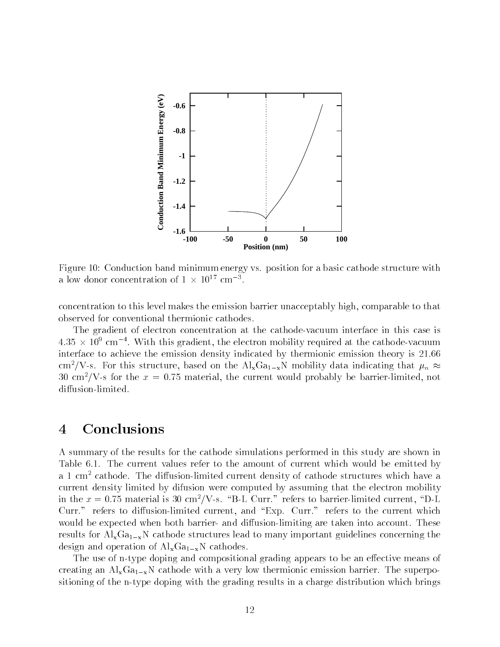

Figure Conduction band minimum energy vs position for a basic cathode structure with a low donor concentration of  $1 \times 10^{-6}$  cm  $^{-2}$ .

concentration to this level makes the emission barrier unacceptably high comparable to that observed for conventional thermionic cathodes

The gradient of electron concentration at the cathode-vacuum interface in this case is 4.50  $\times$  TU cm  $^{-1}$  . With this gradient, the electron mobility required at the cathode-vacuum interface to achieve the emission density indicated by thermionic emission theory is cm- $\gamma$  v-s. For this structure, based on the Al<sub>x</sub>Ga<sub>1-x</sub>N mobility data indicating that  $\mu_n \approx 1$ 30 cm / V -s for the  $x = 0.75$  material, the current would probably be barrier-limited, not diffusion-limited.

# Conclusions

A summary of the results for the cathode simulations performed in this study are shown in Table The current values refer to the amount of current which would be emitted by a 1 cm-cathode. The diffusion-limited current density of cathode structures which have a current density limited by difusion were computed by assuming that the electron mobility in the  $x = 0.7$  material is 50 cm /  $v$  -s.  $\varepsilon$  B-L Curr. Freiers to barrier-limited current, D-L Curr refers to diusionlimited current and Exp Curr refers to the current which would be expected when both barriers are taken into account of the second state into account of the second state results for  $Al_xGa_{1-x}N$  cathode structures lead to many important guidelines concerning the design and operation of  $Al_xGa_{1-x}N$  cathodes.

The use of n-type doping and compositional grading appears to be an effective means of creating an AlxGax Cathode with a very low the superpotence of the superpotence of the superpotential complete sitioning of the n-type doping with the grading results in a charge distribution which brings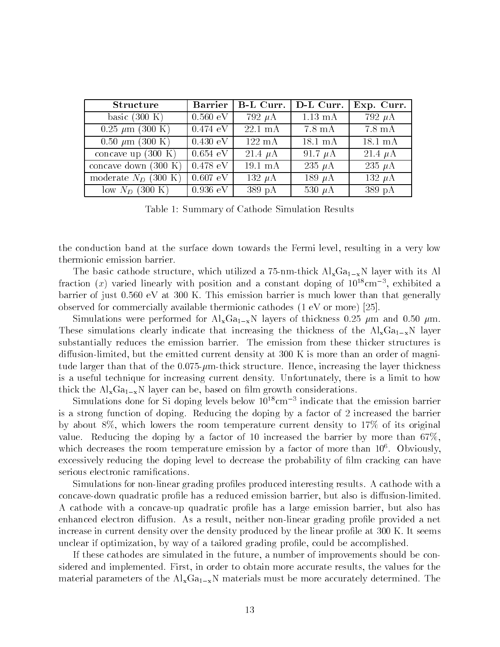| <b>Structure</b>               | <b>Barrier</b>         | B-L Curr.          | D-L Curr.            | Exp. Curr.             |
|--------------------------------|------------------------|--------------------|----------------------|------------------------|
| basic $(300 \text{ K})$        | $0.560\,\,{\text{eV}}$ | 792 $\mu$ A        | $\overline{1.13}$ mA | $\overline{792} \mu A$ |
| $0.25 \mu m$ (300 K)           | $0.474$ eV             | $22.1 \text{ mA}$  | $7.8 \text{ mA}$     | $7.8 \text{ mA}$       |
| $0.50 \mu m$ (300 K)           | $0.430 \text{ eV}$     | $122 \text{ mA}$   | $18.1 \text{ mA}$    | $18.1 \text{ mA}$      |
| concave up $(300 K)$           | $\vert$ 0.654 eV       | 21.4 $\mu$ A       | 91.7 $\mu$ A         | 21.4 $\mu$ A           |
| concave down $(300 \text{ K})$ | $\vert$ 0.478 eV       | $19.1 \text{ mA}$  | 235 $\mu$ A          | 235 $\mu$ A            |
| moderate $N_D$ (300 K)         | $0.607\,\,\text{eV}$   | 132 $\mu$ A        | 189 $\mu$ A          | 132 $\mu$ A            |
| low $N_D$ (300 K)              | $0.936\text{ eV}$      | $389\ \mathrm{pA}$ | 530 $\mu$ A          | 389 pA                 |

Table 1: Summary of Cathode Simulation Results

the conduction band at the surface down towards the Fermi level, resulting in a very low thermionic emission barrier

The basic cathode structure with utilized a complete with  $\alpha$  -respectively  $\alpha$  -respectively in the structure fraction  $(x)$  varied linearly with position and a constant doping of  $10^{+}$  cm  $^{-}$ , exhibited a  $\mathcal{W}$ observed for commercially available thermionic cathodes  $(1 \text{ eV or more})$  [25].

Simulations were performed for  $\Lambda$  in  $\Lambda$  and thickness  $\Lambda$  in this contribution of this contribution of this contribution of the contribution of the contribution of the contribution of the contribution of the contribu These simulations clearly indicate that increasing the thickness of the  $\text{Al}_x\text{Ga}_1_{-x}\text{N}$  layer substantially reduces the emission barriers. The emission from the emission from the emission from the emissio diffusion-limited, but the emitted current density at 300 K is more than an order of magni- $\mathbf{H}$  that of the larger than the larger than the layer than the layer thickness increasing the layer thickness in is a useful technique for increasing current density, a modelling there is a limit to how the limit to thick the  $Al_xGa_{1-x}N$  layer can be, based on film growth considerations.

Simulations done for Si doping levels below cm indicate that the emission barrier is a strong function of doping Reducing the doping by a factor of increased the barrier  $\alpha$  , about  $\alpha$  ,  $\alpha$  its original temperature complex the room temperature contribution of  $\alpha$  is original to  $\alpha$ value Reducing the doping by a factor of increased the barrier by more than which decreases the room temperature emission by a factor of more than  $10^\circ$ . Obviously, excessively reducing the doping level to decrease the probability of 
lm cracking can have serious electronic ramifications.

Simulations for nonlinear grading pro
les produced interesting results A cathode with a concave-down quadratic profile has a reduced emission barrier, but also is diffusion-limited A cathode with a concaveup quadratic pro
le has a large emission barrier but also has enhanced electron diusion As a result neither nonlinear grading pro
le provided a net increase in current density over the density produced by the linear pro
le at K It seems unclear if optimization, by way of a tailored grading profile, could be accomplished.

If these cathodes are simulated in the future a number of improvements should be con sidered and implemented First in order to obtain more accurate results the values for the  $\Lambda$  materials must be more accurately determined be more accurately determined be more accurately determined by  $\Lambda$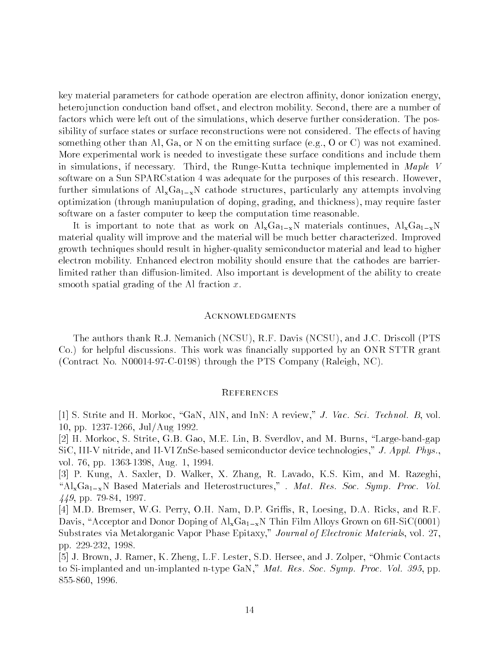key material parameters for cathode operation are electron affinity, donor ionization energy hetero junction conduction band oset and electron mobility Second there are a number of factors which were left out of the simulations which deserve further consideration The pos sibility of surface states or surface reconstructions were not considered The eects of having something other than  $A$  or  $A$  or  $A$  or  $A$  or  $A$  or  $A$  or  $A$  or  $A$  was not examined than  $A$ More experimental work is needed to investigate these surface conditions and include them in simulations in the Runge Common, the Runge Simulation in Maple Victoria technique in Maple Victoria software on a Sun SPARCstation was adequate for the purposes of this research However further simulations of  $Al_xGa_{1-x}N$  cathode structures, particularly any attempts involving optimization (through maniupulation of doping, grading, and thickness), may require faster software on a faster computer to keep the computation time reasonable

It is important to note that as work on  $\text{Al}_{x}\text{Ga}_{1-x}\text{N}$  materials continues,  $\text{Al}_{x}\text{Ga}_{1-x}\text{N}$ material quality will be material will be material will be material will be much better characterized and the growth techniques should result in higher-quality semiconductor material and lead to higher electron mobility, mobility should electron mobility should ensure that the cathodes are barriers. limited rather than diusionlimited Also important is development of the ability to create smooth spatial grading of the Al fraction  $x$ .

## **ACKNOWLEDGMENTS**

, and alternative thanks are constructed to a little to an alternative thanks are and the second to and the se Co for helpful discussions This work was 
nancially supported by an ONR STTR grant contract the PTS Company Raleigh Company Raleigh through the PTS Company Raleigh Company Raleigh Company Raleigh NC

## **REFERENCES**

 S Strite and H Morkoc GaN AlN and InN A review J Vac Sci Technol B vol ppe and the state of the state of the state of the state of the state of the state of the state of the state o

ist stritten in die deur deutschen Stritten der den den staan der den mensen der Stritten der Marie der der St  $SiC, III-V$  nitride, and II-VI ZnSe-based semiconductor device technologies," J. Appl. Phys.. volt van pper wordt wordt wordt wat wordt we

para saylang aslen din mandalang sang sanggung sang sanggung sanggung sanggung sanggung sanggung sanggung sang " $Al_xGa_{1-x}N$  Based Materials and Heterostructures," . Mat. Res. Soc. Symp. Proc. Vol. - pp - -

 M D Bremser W G Perry O H Nam D P Gris R Loesing D A Ricks and R F Davis, "Acceptor and Donor Doping of  $\text{Al}_x\text{Ga}_{1-x}N$  Thin Film Alloys Grown on 6H-SiC(0001) substrates via Metalorganic Vapor Phase Europeanic Journal of Electronic Materials volto Materials volto Pers pp 

 J Brown J Ramer K Zheng L F Lester S D Hersee and J Zolper Ohmic Contacts to Simplanted and university  $\mathcal{A}$  is a set  $\mathcal{A}$  and  $\mathcal{A}$  and  $\mathcal{A}$  are  $\mathcal{A}$  and  $\mathcal{A}$  and  $\mathcal{A}$  are  $\mathcal{A}$  and  $\mathcal{A}$  are  $\mathcal{A}$  and  $\mathcal{A}$  and  $\mathcal{A}$  are  $\mathcal{A}$  and  $\mathcal{A}$  are  $\mathcal{$ 855-860, 1996.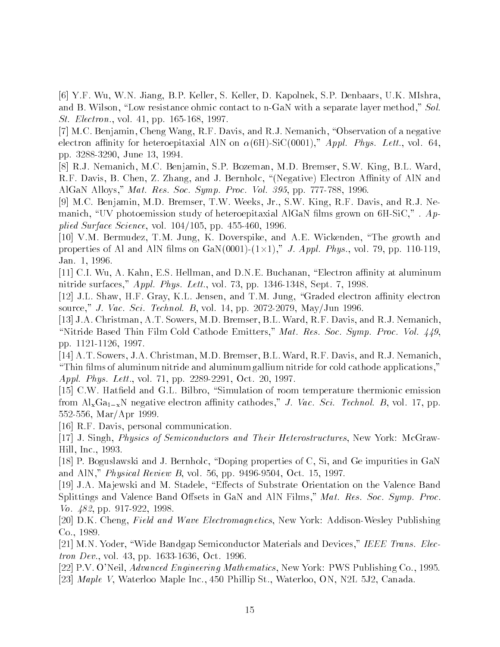Y F Wu W N Jiang B P Keller S Keller D Kapolnek S P Denbaars U K MIshra and B Wilson Low resistance ohmic contact to nGaN with a separate layer method Sol St Electron vol pp  -

- M C Benjamin Cheng Wang R F Davis and R J Nemanich Observation of a negative electron anity for heteroepital Aln on anity for heteroepital Aln on animal Aln on animal Aln on animal Aln on pp  June

remser Steam Manich Manich Manich Manich Manich Manich Manich Manich Manich Manich Manich Manich Manich Manich R F Davis B Chen Z Zhang and J Bernholc Negative Electron Anity of AlN and aar waa aanno yn y alfabet wurdt weging allo en die die die gepleiden benamme foar

, we are the continuous contract to a contract the contract of the contract of the contract of the contract of manich, "UV photoemission study of heteroepitaxial AlGaN films grown on  $6H-SiC$ ,". Applied Surface Surface  $\sim$  1. The surface volume  $\sim$  1. The surface volume  $\sim$  1. The surface volume  $\sim$  1. The surface volume  $\sim$  1. The surface volume  $\sim$  1. The surface volume  $\sim$  1. The surface volume  $\sim$  1. Th

 V M Bermudez T M Jung K Doverspike and A E Wickenden The growth and properties of the contract distance and contract the contract of the physical contract physical contracts to th Jan

 C I Wu A Kahn E S Hellman and D N E Buchanan Electron anity at aluminum nitride surfaces and the surfaces are surfaces and the surfaces of the surfaces of the surface of the surface o

 $\mathcal{I}$  Jensen and Theorem and Theorem and Theorem and Theorem and Theorem and Theorem and Theorem and Theorem and Theorem and Theorem and Theorem and Theorem and Theorem and Theorem and Theorem and Theorem and Theorem a source, you also see the source was seen pp by the seed of the seed of the second

 J A Christman A T Sowers M D Bremser B L Ward R F Davis and R J Nemanich Nitride Based Thin Film Cold Cathode Emitters Mat Res Soc Symp Proc Vol -  $\blacksquare$  . The property of the set of the set of the set of the set of the set of the set of the set of the set of the set of the set of the set of the set of the set of the set of the set of the set of the set of the set o

 A T Sowers J A Christman M D Bremser B L Ward R F Davis and R J Nemanich "Thin films of aluminum nitride and aluminum gallium nitride for cold cathode applications," approximation and the contract property contract when the contract of the contract of the contract of the contract of the contract of the contract of the contract of the contract of the contract of the contract of the cont

 C W Hat
eld and G L Bilbro Simulation of room temperature thermionic emission from AlxGaxN negative electron anity cathodes J Vac Sci Technol B vol - pp 552-556, Mar/Apr 1999.

R F Davis personal communication

- J Singh Physics of Semiconductors and Their Heterostructures New York McGraw Hill Inc

 P Boguslawski and J Bernholc Doping properties of C Si and Ge impurities in GaN and Aln Physical Review B voltage  $\mathbb{R}^n$  and  $\mathbb{R}^n$  voltage  $\mathbb{R}^n$  voltage  $\mathbb{R}^n$  voltage  $\mathbb{R}^n$ 

, a jewski and material metal of Substrates of Substrate Substrate Band and the Valence Band of Substrate Band Splittings and Valence Band Offsets in GaN and AlN Films,"  $Mat.$  Res. Soc. Symp. Proc. Vo pp -

, a cheng field and wave Electromagnetics International Publishing Control of the Management Addison and Manag Co

 M N Yoder Wide Bandgap Semiconductor Materials and Devices IEEE Trans Elec tron e tri rest en ppi erre erret artikel erre

 P V ONeil Advanced Engineering Mathematics New York PWS Publishing Co , waterloo on the state in the Inches Inc. It is a second to the state of the state in the state of the state